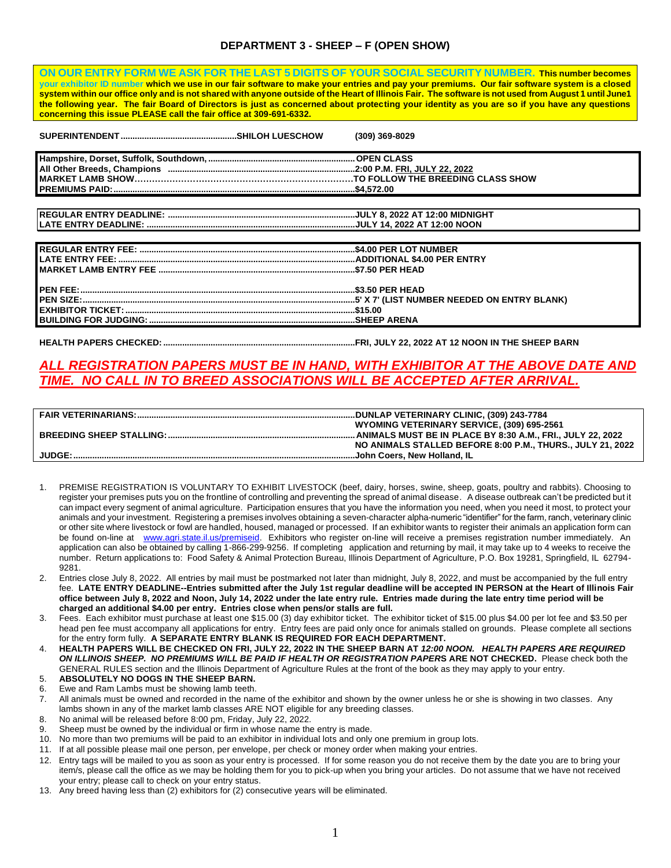# **DEPARTMENT 3 - SHEEP – F (OPEN SHOW)**

**ON OUR ENTRY FORM WE ASK FOR THE LAST 5 DIGITS OF YOUR SOCIAL SECURITY NUMBER. This number becomes your exhibitor ID number which we use in our fair software to make your entries and pay your premiums. Our fair software system is a closed system within our office only and is not shared with anyone outside of the Heart of Illinois Fair. The software is not used from August 1 until June1 the following year. The fair Board of Directors is just as concerned about protecting your identity as you are so if you have any questions concerning this issue PLEASE call the fair office at 309-691-6332.**

|  | $(309)$ 369-8029                                                            |  |
|--|-----------------------------------------------------------------------------|--|
|  |                                                                             |  |
|  |                                                                             |  |
|  | MARKET LAMB SHOW……………………………………………………………………TO FOLLOW THE BREEDING CLASS SHOW |  |
|  |                                                                             |  |
|  |                                                                             |  |

**REGULAR ENTRY DEADLINE: ...............................................................................JULY 8, 2022 AT 12:00 MIDNIGHT**

| <u> 1980 - Jan Samuel Barbara, martin d</u> |
|---------------------------------------------|
|                                             |
|                                             |
|                                             |
|                                             |
|                                             |
|                                             |
|                                             |
|                                             |

**HEALTH PAPERS CHECKED:.................................................................................FRI, JULY 22, 2022 AT 12 NOON IN THE SHEEP BARN**

# *ALL REGISTRATION PAPERS MUST BE IN HAND, WITH EXHIBITOR AT THE ABOVE DATE AND TIME. NO CALL IN TO BREED ASSOCIATIONS WILL BE ACCEPTED AFTER ARRIVAL.*

|               | WYOMING VETERINARY SERVICE, (309) 695-2561                 |
|---------------|------------------------------------------------------------|
|               |                                                            |
|               | NO ANIMALS STALLED BEFORE 8:00 P.M., THURS., JULY 21, 2022 |
| <b>JUDGE:</b> |                                                            |

- 1. PREMISE REGISTRATION IS VOLUNTARY TO EXHIBIT LIVESTOCK (beef, dairy, horses, swine, sheep, goats, poultry and rabbits). Choosing to register your premises puts you on the frontline of controlling and preventing the spread of animal disease. A disease outbreak can't be predicted but it can impact every segment of animal agriculture. Participation ensures that you have the information you need, when you need it most, to protect your animals and your investment. Registering a premises involves obtaining a seven-character alpha-numeric "identifier" for the farm, ranch, veterinary clinic or other site where livestock or fowl are handled, housed, managed or processed. If an exhibitor wants to register their animals an application form can be found on-line at [www.agri.state.il.us/premiseid.](http://www.agri.state.il.us/premiseid) Exhibitors who register on-line will receive a premises registration number immediately. An application can also be obtained by calling 1-866-299-9256. If completing application and returning by mail, it may take up to 4 weeks to receive the number. Return applications to: Food Safety & Animal Protection Bureau, Illinois Department of Agriculture, P.O. Box 19281, Springfield, IL 62794- 9281.
- 2. Entries close July 8, 2022. All entries by mail must be postmarked not later than midnight, July 8, 2022, and must be accompanied by the full entry fee. **LATE ENTRY DEADLINE--Entries submitted after the July 1st regular deadline will be accepted IN PERSON at the Heart of Illinois Fair office between July 8, 2022 and Noon, July 14, 2022 under the late entry rule. Entries made during the late entry time period will be charged an additional \$4.00 per entry. Entries close when pens/or stalls are full.**
- 3. Fees. Each exhibitor must purchase at least one \$15.00 (3) day exhibitor ticket. The exhibitor ticket of \$15.00 plus \$4.00 per lot fee and \$3.50 per head pen fee must accompany all applications for entry. Entry fees are paid only once for animals stalled on grounds. Please complete all sections for the entry form fully. **A SEPARATE ENTRY BLANK IS REQUIRED FOR EACH DEPARTMENT.**
- 4. **HEALTH PAPERS WILL BE CHECKED ON FRI, JULY 22, 2022 IN THE SHEEP BARN AT** *12:00 NOON. HEALTH PAPERS ARE REQUIRED ON ILLINOIS SHEEP. NO PREMIUMS WILL BE PAID IF HEALTH OR REGISTRATION PAPER***S ARE NOT CHECKED.** Please check both the GENERAL RULES section and the Illinois Department of Agriculture Rules at the front of the book as they may apply to your entry.
- 5. **ABSOLUTELY NO DOGS IN THE SHEEP BARN.**
- 6. Ewe and Ram Lambs must be showing lamb teeth.
- 7. All animals must be owned and recorded in the name of the exhibitor and shown by the owner unless he or she is showing in two classes. Any lambs shown in any of the market lamb classes ARE NOT eligible for any breeding classes.
- 8. No animal will be released before 8:00 pm, Friday, July 22, 2022.
- 9. Sheep must be owned by the individual or firm in whose name the entry is made.
- 10. No more than two premiums will be paid to an exhibitor in individual lots and only one premium in group lots.
- 11. If at all possible please mail one person, per envelope, per check or money order when making your entries.
- 12. Entry tags will be mailed to you as soon as your entry is processed. If for some reason you do not receive them by the date you are to bring your item/s, please call the office as we may be holding them for you to pick-up when you bring your articles. Do not assume that we have not received your entry; please call to check on your entry status.
- 13. Any breed having less than (2) exhibitors for (2) consecutive years will be eliminated.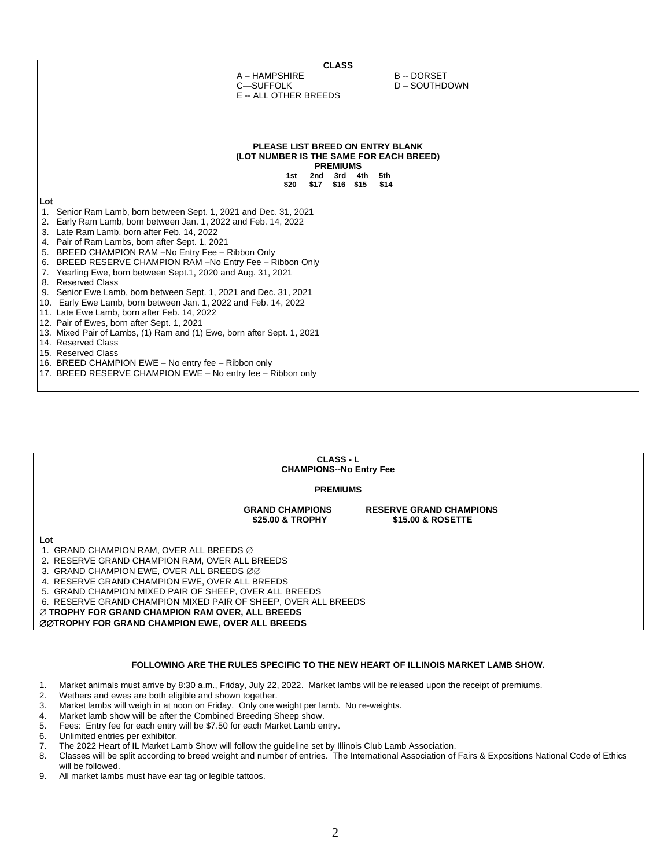| <b>CLASS</b>                                                                              |                                                 |  |  |  |  |  |
|-------------------------------------------------------------------------------------------|-------------------------------------------------|--|--|--|--|--|
| A - HAMPSHIRE                                                                             | <b>B-DORSET</b>                                 |  |  |  |  |  |
| C-SUFFOLK                                                                                 | D - SOUTHDOWN                                   |  |  |  |  |  |
| E -- ALL OTHER BREEDS                                                                     |                                                 |  |  |  |  |  |
|                                                                                           |                                                 |  |  |  |  |  |
|                                                                                           |                                                 |  |  |  |  |  |
|                                                                                           |                                                 |  |  |  |  |  |
|                                                                                           |                                                 |  |  |  |  |  |
|                                                                                           | PLEASE LIST BREED ON ENTRY BLANK                |  |  |  |  |  |
|                                                                                           | (LOT NUMBER IS THE SAME FOR EACH BREED)         |  |  |  |  |  |
|                                                                                           | <b>PREMIUMS</b>                                 |  |  |  |  |  |
| 1st<br>\$20                                                                               | 3rd<br>2nd<br>4th<br>5th<br>\$17 \$16 \$15 \$14 |  |  |  |  |  |
|                                                                                           |                                                 |  |  |  |  |  |
| Lot                                                                                       |                                                 |  |  |  |  |  |
| 1. Senior Ram Lamb, born between Sept. 1, 2021 and Dec. 31, 2021                          |                                                 |  |  |  |  |  |
| 2. Early Ram Lamb, born between Jan. 1, 2022 and Feb. 14, 2022                            |                                                 |  |  |  |  |  |
| 3. Late Ram Lamb, born after Feb. 14, 2022                                                |                                                 |  |  |  |  |  |
| 4. Pair of Ram Lambs, born after Sept. 1, 2021                                            |                                                 |  |  |  |  |  |
| 5. BREED CHAMPION RAM -No Entry Fee - Ribbon Only                                         |                                                 |  |  |  |  |  |
| 6. BREED RESERVE CHAMPION RAM -No Entry Fee - Ribbon Only                                 |                                                 |  |  |  |  |  |
| Yearling Ewe, born between Sept.1, 2020 and Aug. 31, 2021<br>7.                           |                                                 |  |  |  |  |  |
| 8. Reserved Class                                                                         |                                                 |  |  |  |  |  |
| 9. Senior Ewe Lamb, born between Sept. 1, 2021 and Dec. 31, 2021                          |                                                 |  |  |  |  |  |
| 10. Early Ewe Lamb, born between Jan. 1, 2022 and Feb. 14, 2022                           |                                                 |  |  |  |  |  |
| 11. Late Ewe Lamb, born after Feb. 14, 2022<br>12. Pair of Ewes, born after Sept. 1, 2021 |                                                 |  |  |  |  |  |
| 13. Mixed Pair of Lambs, (1) Ram and (1) Ewe, born after Sept. 1, 2021                    |                                                 |  |  |  |  |  |
| 14. Reserved Class                                                                        |                                                 |  |  |  |  |  |
| 15. Reserved Class                                                                        |                                                 |  |  |  |  |  |
| 16. BREED CHAMPION EWE - No entry fee - Ribbon only                                       |                                                 |  |  |  |  |  |
| 17. BREED RESERVE CHAMPION EWE - No entry fee - Ribbon only                               |                                                 |  |  |  |  |  |
|                                                                                           |                                                 |  |  |  |  |  |

| <b>CLASS - L</b>               |  |
|--------------------------------|--|
| <b>CHAMPIONS--No Entry Fee</b> |  |

**PREMIUMS**

GRAND CHAMPIONS RESERVE GRAND CHAMPIONS<br>\$25.00 & TROPHY **\$15.00 & ROSETTE** \$15.00 & ROSETTE

**Lot**

1. GRAND CHAMPION RAM, OVER ALL BREEDS

- 2. RESERVE GRAND CHAMPION RAM, OVER ALL BREEDS
- 3. GRAND CHAMPION EWE, OVER ALL BREEDS  $\varnothing\varnothing$
- 4. RESERVE GRAND CHAMPION EWE, OVER ALL BREEDS
- 5. GRAND CHAMPION MIXED PAIR OF SHEEP, OVER ALL BREEDS
- 6. RESERVE GRAND CHAMPION MIXED PAIR OF SHEEP, OVER ALL BREEDS

**TROPHY FOR GRAND CHAMPION RAM OVER, ALL BREEDS** 

**ØØTROPHY FOR GRAND CHAMPION EWE, OVER ALL BREEDS** 

#### **FOLLOWING ARE THE RULES SPECIFIC TO THE NEW HEART OF ILLINOIS MARKET LAMB SHOW.**

- 1. Market animals must arrive by 8:30 a.m., Friday, July 22, 2022. Market lambs will be released upon the receipt of premiums.
- 2. Wethers and ewes are both eligible and shown together.
- 3. Market lambs will weigh in at noon on Friday. Only one weight per lamb. No re-weights.
- 4. Market lamb show will be after the Combined Breeding Sheep show.
- 5. Fees: Entry fee for each entry will be \$7.50 for each Market Lamb entry.
- 6. Unlimited entries per exhibitor.<br>7. The 2022 Heart of IL Market La
- 7. The 2022 Heart of IL Market Lamb Show will follow the guideline set by Illinois Club Lamb Association.<br>8. Classes will be split according to breed weight and number of entries. The International Association of
- 8. Classes will be split according to breed weight and number of entries. The International Association of Fairs & Expositions National Code of Ethics will be followed.
- 9. All market lambs must have ear tag or legible tattoos.